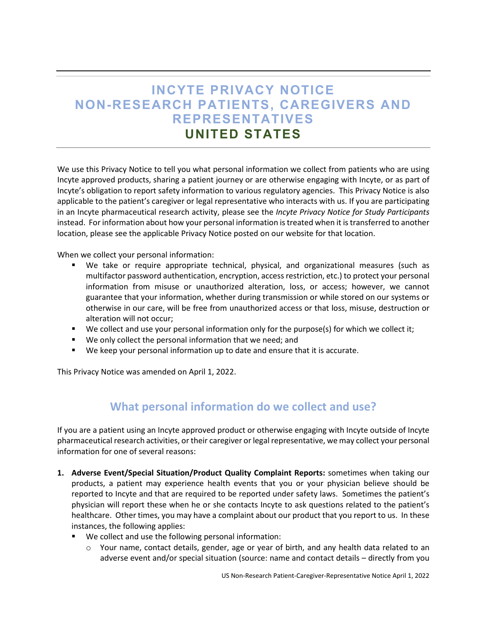# **INCYTE PRIVACY NOTICE NON-RESEARCH PATIENTS, CAREGIVERS AND REPRESENTATIVES UNITED STATES**

We use this Privacy Notice to tell you what personal information we collect from patients who are using Incyte approved products, sharing a patient journey or are otherwise engaging with Incyte, or as part of Incyte's obligation to report safety information to various regulatory agencies. This Privacy Notice is also applicable to the patient's caregiver or legal representative who interacts with us. If you are participating in an Incyte pharmaceutical research activity, please see the *Incyte Privacy Notice for Study Participants* instead. For information about how your personal information is treated when it is transferred to another location, please see the applicable Privacy Notice posted on our website for that location.

When we collect your personal information:

- We take or require appropriate technical, physical, and organizational measures (such as multifactor password authentication, encryption, access restriction, etc.) to protect your personal information from misuse or unauthorized alteration, loss, or access; however, we cannot guarantee that your information, whether during transmission or while stored on our systems or otherwise in our care, will be free from unauthorized access or that loss, misuse, destruction or alteration will not occur;
- We collect and use your personal information only for the purpose(s) for which we collect it;
- We only collect the personal information that we need; and
- We keep your personal information up to date and ensure that it is accurate.

This Privacy Notice was amended on April 1, 2022.

### **What personal information do we collect and use?**

If you are a patient using an Incyte approved product or otherwise engaging with Incyte outside of Incyte pharmaceutical research activities, or their caregiver or legal representative, we may collect your personal information for one of several reasons:

- **1. Adverse Event/Special Situation/Product Quality Complaint Reports:** sometimes when taking our products, a patient may experience health events that you or your physician believe should be reported to Incyte and that are required to be reported under safety laws. Sometimes the patient's physician will report these when he or she contacts Incyte to ask questions related to the patient's healthcare. Other times, you may have a complaint about our product that you report to us. In these instances, the following applies:
	- We collect and use the following personal information:
		- o Your name, contact details, gender, age or year of birth, and any health data related to an adverse event and/or special situation (source: name and contact details – directly from you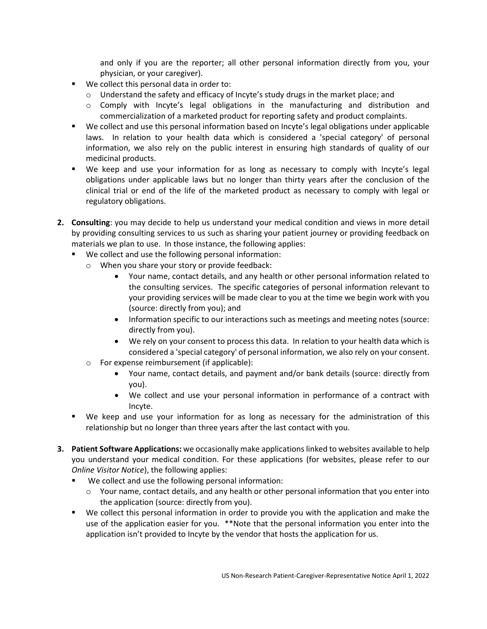and only if you are the reporter; all other personal information directly from you, your physician, or your caregiver).

- We collect this personal data in order to:
	- o Understand the safety and efficacy of Incyte's study drugs in the market place; and
	- o Comply with Incyte's legal obligations in the manufacturing and distribution and commercialization of a marketed product for reporting safety and product complaints.
- We collect and use this personal information based on Incyte's legal obligations under applicable laws. In relation to your health data which is considered a 'special category' of personal information, we also rely on the public interest in ensuring high standards of quality of our medicinal products.
- We keep and use your information for as long as necessary to comply with Incyte's legal obligations under applicable laws but no longer than thirty years after the conclusion of the clinical trial or end of the life of the marketed product as necessary to comply with legal or regulatory obligations.
- **2. Consulting**: you may decide to help us understand your medical condition and views in more detail by providing consulting services to us such as sharing your patient journey or providing feedback on materials we plan to use. In those instance, the following applies:
	- We collect and use the following personal information:
		- o When you share your story or provide feedback:
			- Your name, contact details, and any health or other personal information related to the consulting services. The specific categories of personal information relevant to your providing services will be made clear to you at the time we begin work with you (source: directly from you); and
			- Information specific to our interactions such as meetings and meeting notes (source: directly from you).
			- We rely on your consent to process this data. In relation to your health data which is considered a 'special category' of personal information, we also rely on your consent.
		- o For expense reimbursement (if applicable):
			- Your name, contact details, and payment and/or bank details (source: directly from you).
			- We collect and use your personal information in performance of a contract with Incyte.
	- We keep and use your information for as long as necessary for the administration of this relationship but no longer than three years after the last contact with you.
- **3. Patient Software Applications:** we occasionally make applications linked to websites available to help you understand your medical condition. For these applications (for websites, please refer to our *Online Visitor Notice*), the following applies:
	- We collect and use the following personal information:
		- $\circ$  Your name, contact details, and any health or other personal information that you enter into the application (source: directly from you).
	- We collect this personal information in order to provide you with the application and make the use of the application easier for you. \*\*Note that the personal information you enter into the application isn't provided to Incyte by the vendor that hosts the application for us.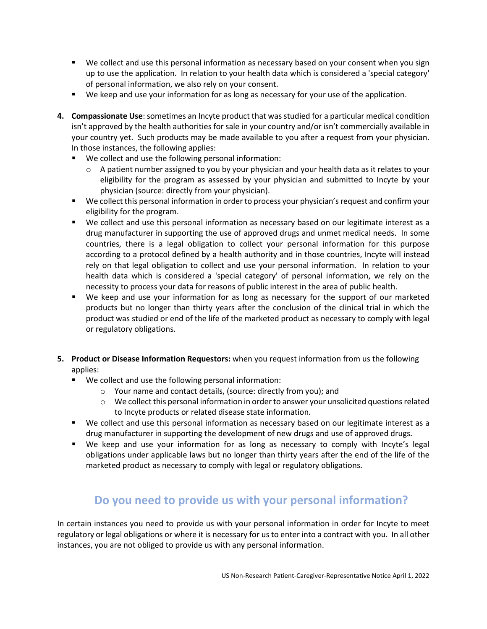- We collect and use this personal information as necessary based on your consent when you sign up to use the application. In relation to your health data which is considered a 'special category' of personal information, we also rely on your consent.
- We keep and use your information for as long as necessary for your use of the application.
- **4. Compassionate Use**: sometimes an Incyte product that was studied for a particular medical condition isn't approved by the health authorities for sale in your country and/or isn't commercially available in your country yet. Such products may be made available to you after a request from your physician. In those instances, the following applies:
	- We collect and use the following personal information:
		- $\circ$  A patient number assigned to you by your physician and your health data as it relates to your eligibility for the program as assessed by your physician and submitted to Incyte by your physician (source: directly from your physician).
	- We collect this personal information in order to process your physician's request and confirm your eligibility for the program.
	- We collect and use this personal information as necessary based on our legitimate interest as a drug manufacturer in supporting the use of approved drugs and unmet medical needs. In some countries, there is a legal obligation to collect your personal information for this purpose according to a protocol defined by a health authority and in those countries, Incyte will instead rely on that legal obligation to collect and use your personal information. In relation to your health data which is considered a 'special category' of personal information, we rely on the necessity to process your data for reasons of public interest in the area of public health.
	- We keep and use your information for as long as necessary for the support of our marketed products but no longer than thirty years after the conclusion of the clinical trial in which the product was studied or end of the life of the marketed product as necessary to comply with legal or regulatory obligations.
- **5. Product or Disease Information Requestors:** when you request information from us the following applies:
	- We collect and use the following personal information:
		- o Your name and contact details, (source: directly from you); and
		- o We collect this personal information in order to answer your unsolicited questions related to Incyte products or related disease state information.
	- We collect and use this personal information as necessary based on our legitimate interest as a drug manufacturer in supporting the development of new drugs and use of approved drugs.
	- We keep and use your information for as long as necessary to comply with Incyte's legal obligations under applicable laws but no longer than thirty years after the end of the life of the marketed product as necessary to comply with legal or regulatory obligations.

## **Do you need to provide us with your personal information?**

In certain instances you need to provide us with your personal information in order for Incyte to meet regulatory or legal obligations or where it is necessary for us to enter into a contract with you. In all other instances, you are not obliged to provide us with any personal information.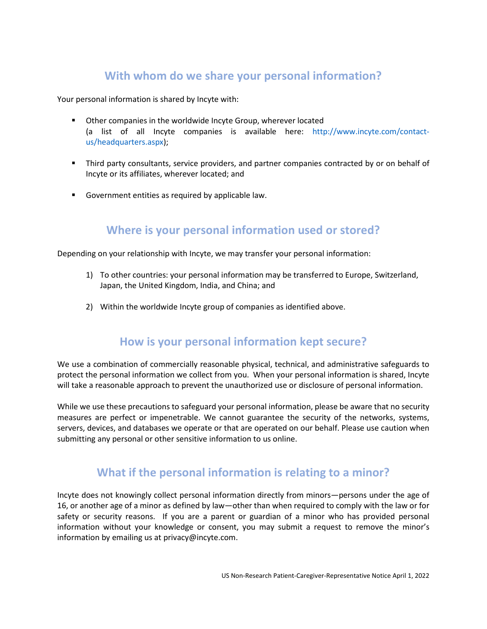## **With whom do we share your personal information?**

Your personal information is shared by Incyte with:

- Other companies in the worldwide Incyte Group, wherever located (a list of all Incyte companies is available here: http://www.incyte.com/contactus/headquarters.aspx);
- Third party consultants, service providers, and partner companies contracted by or on behalf of Incyte or its affiliates, wherever located; and
- **Government entities as required by applicable law.**

### **Where is your personal information used or stored?**

Depending on your relationship with Incyte, we may transfer your personal information:

- 1) To other countries: your personal information may be transferred to Europe, Switzerland, Japan, the United Kingdom, India, and China; and
- 2) Within the worldwide Incyte group of companies as identified above.

### **How is your personal information kept secure?**

We use a combination of commercially reasonable physical, technical, and administrative safeguards to protect the personal information we collect from you. When your personal information is shared, Incyte will take a reasonable approach to prevent the unauthorized use or disclosure of personal information.

While we use these precautions to safeguard your personal information, please be aware that no security measures are perfect or impenetrable. We cannot guarantee the security of the networks, systems, servers, devices, and databases we operate or that are operated on our behalf. Please use caution when submitting any personal or other sensitive information to us online.

### **What if the personal information is relating to a minor?**

Incyte does not knowingly collect personal information directly from minors—persons under the age of 16, or another age of a minor as defined by law—other than when required to comply with the law or for safety or security reasons. If you are a parent or guardian of a minor who has provided personal information without your knowledge or consent, you may submit a request to remove the minor's information by emailing us at privacy@incyte.com.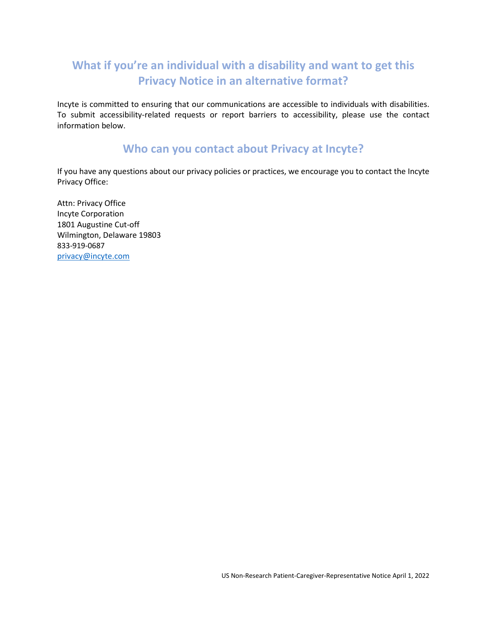# **What if you're an individual with a disability and want to get this Privacy Notice in an alternative format?**

Incyte is committed to ensuring that our communications are accessible to individuals with disabilities. To submit accessibility-related requests or report barriers to accessibility, please use the contact information below.

### **Who can you contact about Privacy at Incyte?**

If you have any questions about our privacy policies or practices, we encourage you to contact the Incyte Privacy Office:

Attn: Privacy Office Incyte Corporation 1801 Augustine Cut-off Wilmington, Delaware 19803 833-919-0687 [privacy@incyte.com](mailto:privacy@incyte.com)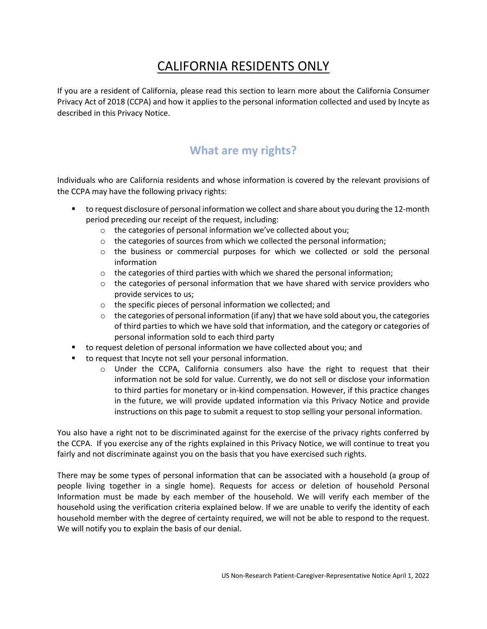# CALIFORNIA RESIDENTS ONLY

If you are a resident of California, please read this section to learn more about the California Consumer Privacy Act of 2018 (CCPA) and how it applies to the personal information collected and used by Incyte as described in this Privacy Notice.

## **What are my rights?**

Individuals who are California residents and whose information is covered by the relevant provisions of the CCPA may have the following privacy rights:

- **thata)** to request disclosure of personal information we collect and share about you during the 12-month period preceding our receipt of the request, including:
	- o the categories of personal information we've collected about you;
	- $\circ$  the categories of sources from which we collected the personal information;
	- o the business or commercial purposes for which we collected or sold the personal information
	- $\circ$  the categories of third parties with which we shared the personal information;
	- $\circ$  the categories of personal information that we have shared with service providers who provide services to us;
	- o the specific pieces of personal information we collected; and
	- $\circ$  the categories of personal information (if any) that we have sold about you, the categories of third parties to which we have sold that information, and the category or categories of personal information sold to each third party
- to request deletion of personal information we have collected about you; and
- to request that Incyte not sell your personal information.
	- $\circ$  Under the CCPA, California consumers also have the right to request that their information not be sold for value. Currently, we do not sell or disclose your information to third parties for monetary or in-kind compensation. However, if this practice changes in the future, we will provide updated information via this Privacy Notice and provide instructions on this page to submit a request to stop selling your personal information.

You also have a right not to be discriminated against for the exercise of the privacy rights conferred by the CCPA. If you exercise any of the rights explained in this Privacy Notice, we will continue to treat you fairly and not discriminate against you on the basis that you have exercised such rights.

There may be some types of personal information that can be associated with a household (a group of people living together in a single home). Requests for access or deletion of household Personal Information must be made by each member of the household. We will verify each member of the household using the verification criteria explained below. If we are unable to verify the identity of each household member with the degree of certainty required, we will not be able to respond to the request. We will notify you to explain the basis of our denial.